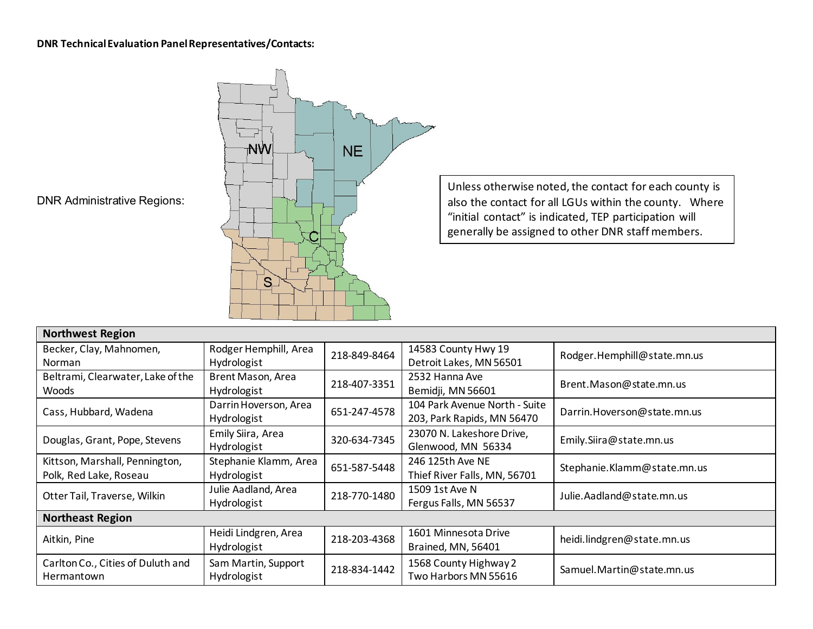## **DNR Technical Evaluation Panel Representatives/Contacts:**



Unless otherwise noted, the contact for each county is also the contact for all LGUs within the county. Where "initial contact" is indicated, TEP participation will generally be assigned to other DNR staff members.

DNR Administrative Regions:

| <b>Northwest Region</b>                                                                      |                       |                      |                               |                             |
|----------------------------------------------------------------------------------------------|-----------------------|----------------------|-------------------------------|-----------------------------|
| Becker, Clay, Mahnomen,                                                                      | Rodger Hemphill, Area | 218-849-8464         | 14583 County Hwy 19           | Rodger.Hemphill@state.mn.us |
| Norman                                                                                       | Hydrologist           |                      | Detroit Lakes, MN 56501       |                             |
| Beltrami, Clearwater, Lake of the                                                            | Brent Mason, Area     | 218-407-3351         | 2532 Hanna Ave                | Brent. Mason@state.mn.us    |
| <b>Woods</b>                                                                                 | Hydrologist           |                      | Bemidji, MN 56601             |                             |
| Cass, Hubbard, Wadena                                                                        | Darrin Hoverson, Area | 651-247-4578         | 104 Park Avenue North - Suite | Darrin.Hoverson@state.mn.us |
|                                                                                              | Hydrologist           |                      | 203, Park Rapids, MN 56470    |                             |
| Douglas, Grant, Pope, Stevens                                                                | Emily Siira, Area     | 320-634-7345         | 23070 N. Lakeshore Drive,     | Emily.Siira@state.mn.us     |
|                                                                                              | Hydrologist           |                      | Glenwood, MN 56334            |                             |
| Kittson, Marshall, Pennington,                                                               | Stephanie Klamm, Area | 651-587-5448         | 246 125th Ave NE              | Stephanie.Klamm@state.mn.us |
| Polk, Red Lake, Roseau                                                                       | Hydrologist           |                      | Thief River Falls, MN, 56701  |                             |
| Otter Tail, Traverse, Wilkin                                                                 | Julie Aadland, Area   | 218-770-1480         | 1509 1st Ave N                | Julie. Aadland@state.mn.us  |
|                                                                                              | Hydrologist           |                      | Fergus Falls, MN 56537        |                             |
| <b>Northeast Region</b>                                                                      |                       |                      |                               |                             |
| Aitkin, Pine                                                                                 | Heidi Lindgren, Area  | 218-203-4368         | 1601 Minnesota Drive          | heidi.lindgren@state.mn.us  |
|                                                                                              | Hydrologist           |                      | Brained, MN, 56401            |                             |
| Carlton Co., Cities of Duluth and<br>Sam Martin, Support<br>Hydrologist<br><b>Hermantown</b> |                       |                      | 1568 County Highway 2         |                             |
|                                                                                              | 218-834-1442          | Two Harbors MN 55616 | Samuel. Martin@state.mn.us    |                             |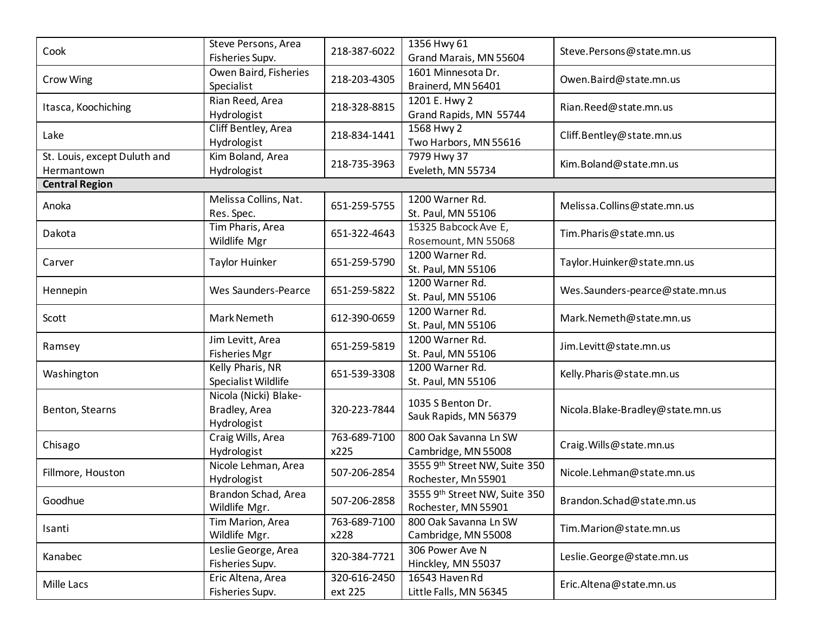| Cook                                       | Steve Persons, Area<br>Fisheries Supv.                | 218-387-6022            | 1356 Hwy 61<br>Grand Marais, MN 55604                | Steve.Persons@state.mn.us        |
|--------------------------------------------|-------------------------------------------------------|-------------------------|------------------------------------------------------|----------------------------------|
| Crow Wing                                  | Owen Baird, Fisheries<br>Specialist                   | 218-203-4305            | 1601 Minnesota Dr.<br>Brainerd, MN 56401             | Owen.Baird@state.mn.us           |
| Itasca, Koochiching                        | Rian Reed, Area<br>Hydrologist                        | 218-328-8815            | 1201 E. Hwy 2<br>Grand Rapids, MN 55744              | Rian.Reed@state.mn.us            |
| Lake                                       | Cliff Bentley, Area<br>Hydrologist                    | 218-834-1441            | 1568 Hwy 2<br>Two Harbors, MN 55616                  | Cliff.Bentley@state.mn.us        |
| St. Louis, except Duluth and<br>Hermantown | Kim Boland, Area<br>Hydrologist                       | 218-735-3963            | 7979 Hwy 37<br>Eveleth, MN 55734                     | Kim.Boland@state.mn.us           |
| <b>Central Region</b>                      |                                                       |                         |                                                      |                                  |
| Anoka                                      | Melissa Collins, Nat.<br>Res. Spec.                   | 651-259-5755            | 1200 Warner Rd.<br>St. Paul, MN 55106                | Melissa.Collins@state.mn.us      |
| Dakota                                     | Tim Pharis, Area<br>Wildlife Mgr                      | 651-322-4643            | 15325 Babcock Ave E,<br>Rosemount, MN 55068          | Tim.Pharis@state.mn.us           |
| Carver                                     | Taylor Huinker                                        | 651-259-5790            | 1200 Warner Rd.<br>St. Paul, MN 55106                | Taylor.Huinker@state.mn.us       |
| Hennepin                                   | Wes Saunders-Pearce                                   | 651-259-5822            | 1200 Warner Rd.<br>St. Paul, MN 55106                | Wes.Saunders-pearce@state.mn.us  |
| Scott                                      | Mark Nemeth                                           | 612-390-0659            | 1200 Warner Rd.<br>St. Paul, MN 55106                | Mark.Nemeth@state.mn.us          |
| Ramsey                                     | Jim Levitt, Area<br><b>Fisheries Mgr</b>              | 651-259-5819            | 1200 Warner Rd.<br>St. Paul, MN 55106                | Jim.Levitt@state.mn.us           |
| Washington                                 | Kelly Pharis, NR<br>Specialist Wildlife               | 651-539-3308            | 1200 Warner Rd.<br>St. Paul, MN 55106                | Kelly.Pharis@state.mn.us         |
| Benton, Stearns                            | Nicola (Nicki) Blake-<br>Bradley, Area<br>Hydrologist | 320-223-7844            | 1035 S Benton Dr.<br>Sauk Rapids, MN 56379           | Nicola.Blake-Bradley@state.mn.us |
| Chisago                                    | Craig Wills, Area<br>Hydrologist                      | 763-689-7100<br>x225    | 800 Oak Savanna Ln SW<br>Cambridge, MN 55008         | Craig. Wills@state.mn.us         |
| Fillmore, Houston                          | Nicole Lehman, Area<br>Hydrologist                    | 507-206-2854            | 3555 9th Street NW, Suite 350<br>Rochester, Mn 55901 | Nicole.Lehman@state.mn.us        |
| Goodhue                                    | Brandon Schad, Area<br>Wildlife Mgr.                  | 507-206-2858            | 3555 9th Street NW, Suite 350<br>Rochester, MN 55901 | Brandon.Schad@state.mn.us        |
| Isanti                                     | Tim Marion, Area<br>Wildlife Mgr.                     | 763-689-7100<br>x228    | 800 Oak Savanna Ln SW<br>Cambridge, MN 55008         | Tim.Marion@state.mn.us           |
| Kanabec                                    | Leslie George, Area<br>Fisheries Supv.                | 320-384-7721            | 306 Power Ave N<br>Hinckley, MN 55037                | Leslie.George@state.mn.us        |
| Mille Lacs                                 | Eric Altena, Area<br>Fisheries Supv.                  | 320-616-2450<br>ext 225 | 16543 Haven Rd<br>Little Falls, MN 56345             | Eric.Altena@state.mn.us          |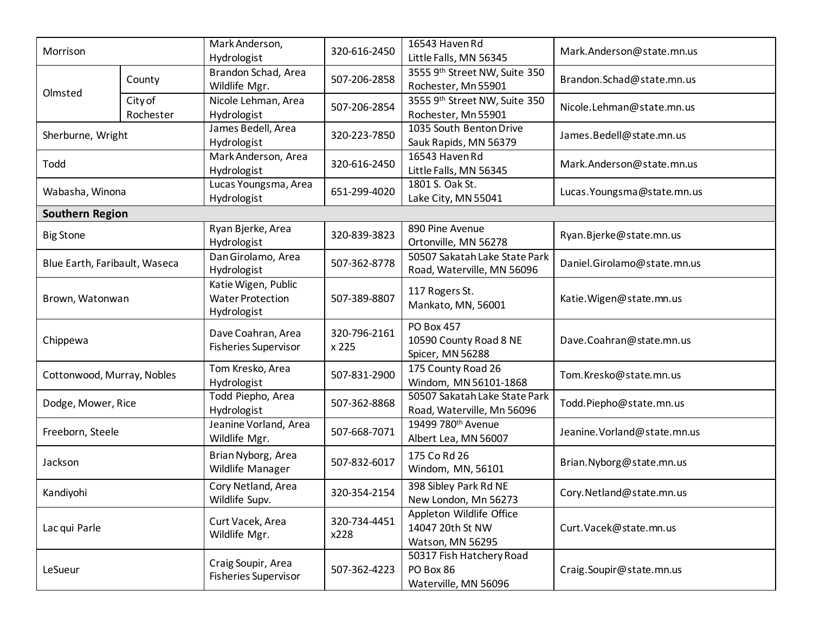| Morrison                      |                      | Mark Anderson,<br>Hydrologist                                 | 320-616-2450          | 16543 Haven Rd<br>Little Falls, MN 56345                         | Mark.Anderson@state.mn.us    |
|-------------------------------|----------------------|---------------------------------------------------------------|-----------------------|------------------------------------------------------------------|------------------------------|
|                               | County               | Brandon Schad, Area<br>Wildlife Mgr.                          | 507-206-2858          | 3555 9th Street NW, Suite 350<br>Rochester, Mn 55901             | Brandon.Schad@state.mn.us    |
| Olmsted                       | City of<br>Rochester | Nicole Lehman, Area<br>Hydrologist                            | 507-206-2854          | 3555 9th Street NW, Suite 350<br>Rochester, Mn 55901             | Nicole.Lehman@state.mn.us    |
| Sherburne, Wright             |                      | James Bedell, Area<br>Hydrologist                             | 320-223-7850          | 1035 South Benton Drive<br>Sauk Rapids, MN 56379                 | James.Bedell@state.mn.us     |
| Todd                          |                      | Mark Anderson, Area<br>Hydrologist                            | 320-616-2450          | 16543 Haven Rd<br>Little Falls, MN 56345                         | Mark.Anderson@state.mn.us    |
| Wabasha, Winona               |                      | Lucas Youngsma, Area<br>Hydrologist                           | 651-299-4020          | 1801 S. Oak St.<br>Lake City, MN 55041                           | Lucas. Youngsma@state.mn.us  |
| <b>Southern Region</b>        |                      |                                                               |                       |                                                                  |                              |
| <b>Big Stone</b>              |                      | Ryan Bjerke, Area<br>Hydrologist                              | 320-839-3823          | 890 Pine Avenue<br>Ortonville, MN 56278                          | Ryan.Bjerke@state.mn.us      |
| Blue Earth, Faribault, Waseca |                      | Dan Girolamo, Area<br>Hydrologist                             | 507-362-8778          | 50507 Sakatah Lake State Park<br>Road, Waterville, MN 56096      | Daniel.Girolamo@state.mn.us  |
| Brown, Watonwan               |                      | Katie Wigen, Public<br><b>Water Protection</b><br>Hydrologist | 507-389-8807          | 117 Rogers St.<br>Mankato, MN, 56001                             | Katie. Wigen@state.mn.us     |
| Chippewa                      |                      | Dave Coahran, Area<br><b>Fisheries Supervisor</b>             | 320-796-2161<br>x 225 | <b>PO Box 457</b><br>10590 County Road 8 NE<br>Spicer, MN 56288  | Dave.Coahran@state.mn.us     |
| Cottonwood, Murray, Nobles    |                      | Tom Kresko, Area<br>Hydrologist                               | 507-831-2900          | 175 County Road 26<br>Windom, MN 56101-1868                      | Tom.Kresko@state.mn.us       |
| Dodge, Mower, Rice            |                      | Todd Piepho, Area<br>Hydrologist                              | 507-362-8868          | 50507 Sakatah Lake State Park<br>Road, Waterville, Mn 56096      | Todd.Piepho@state.mn.us      |
| Freeborn, Steele              |                      | Jeanine Vorland, Area<br>Wildlife Mgr.                        | 507-668-7071          | 19499 780 <sup>th</sup> Avenue<br>Albert Lea, MN 56007           | Jeanine. Vorland@state.mn.us |
| Jackson                       |                      | Brian Nyborg, Area<br>Wildlife Manager                        | 507-832-6017          | 175 Co Rd 26<br>Windom, MN, 56101                                | Brian.Nyborg@state.mn.us     |
| Kandiyohi                     |                      | Cory Netland, Area<br>Wildlife Supv.                          | 320-354-2154          | 398 Sibley Park Rd NE<br>New London, Mn 56273                    | Cory.Netland@state.mn.us     |
| Lac qui Parle                 |                      | Curt Vacek, Area<br>Wildlife Mgr.                             | 320-734-4451<br>x228  | Appleton Wildlife Office<br>14047 20th St NW<br>Watson, MN 56295 | Curt. Vacek@state.mn.us      |
| LeSueur                       |                      | Craig Soupir, Area<br><b>Fisheries Supervisor</b>             | 507-362-4223          | 50317 Fish Hatchery Road<br>PO Box 86<br>Waterville, MN 56096    | Craig.Soupir@state.mn.us     |